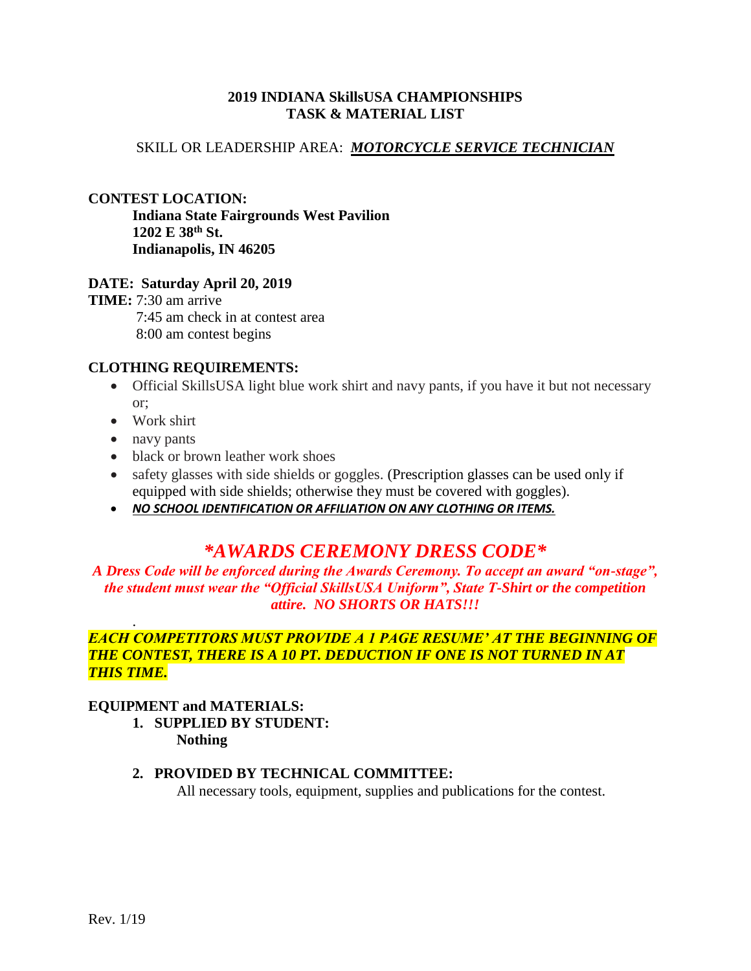# **2019 INDIANA SkillsUSA CHAMPIONSHIPS TASK & MATERIAL LIST**

# SKILL OR LEADERSHIP AREA: *MOTORCYCLE SERVICE TECHNICIAN*

#### **CONTEST LOCATION:**

**Indiana State Fairgrounds West Pavilion 1202 E 38th St. Indianapolis, IN 46205**

#### **DATE: Saturday April 20, 2019**

**TIME:** 7:30 am arrive 7:45 am check in at contest area 8:00 am contest begins

#### **CLOTHING REQUIREMENTS:**

- Official SkillsUSA light blue work shirt and navy pants, if you have it but not necessary or;
- Work shirt
- navy pants

.

- black or brown leather work shoes
- safety glasses with side shields or goggles. (Prescription glasses can be used only if equipped with side shields; otherwise they must be covered with goggles).
- *NO SCHOOL IDENTIFICATION OR AFFILIATION ON ANY CLOTHING OR ITEMS.*

# *\*AWARDS CEREMONY DRESS CODE\**

*A Dress Code will be enforced during the Awards Ceremony. To accept an award "on-stage", the student must wear the "Official SkillsUSA Uniform", State T-Shirt or the competition attire. NO SHORTS OR HATS!!!*

# *EACH COMPETITORS MUST PROVIDE A 1 PAGE RESUME' AT THE BEGINNING OF THE CONTEST, THERE IS A 10 PT. DEDUCTION IF ONE IS NOT TURNED IN AT THIS TIME.*

#### **EQUIPMENT and MATERIALS:**

#### **1. SUPPLIED BY STUDENT: Nothing**

# **2. PROVIDED BY TECHNICAL COMMITTEE:**

All necessary tools, equipment, supplies and publications for the contest.